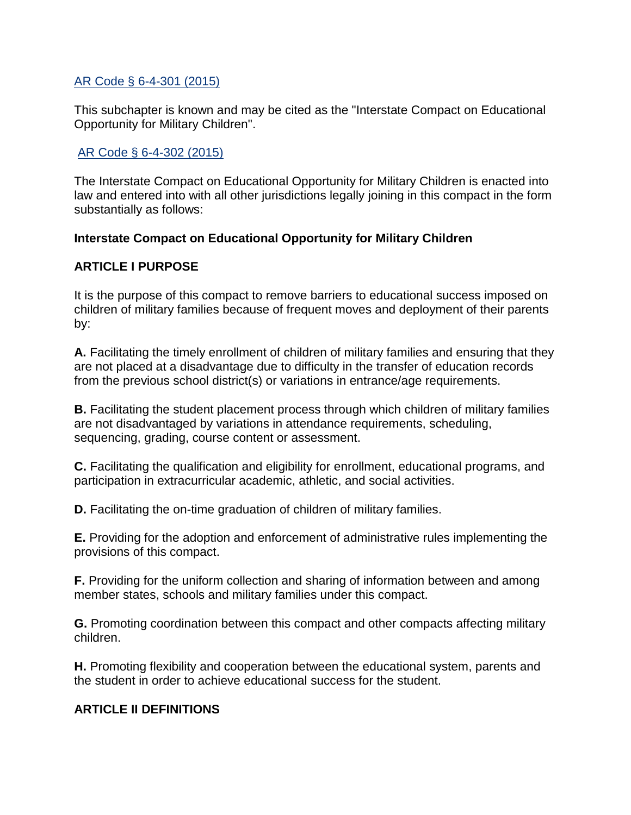#### [AR Code § 6-4-301 \(2015\)](http://law.justia.com/citations.html)

This subchapter is known and may be cited as the "Interstate Compact on Educational Opportunity for Military Children".

## [AR Code § 6-4-302 \(2015\)](http://law.justia.com/citations.html)

The Interstate Compact on Educational Opportunity for Military Children is enacted into law and entered into with all other jurisdictions legally joining in this compact in the form substantially as follows:

#### **Interstate Compact on Educational Opportunity for Military Children**

## **ARTICLE I PURPOSE**

It is the purpose of this compact to remove barriers to educational success imposed on children of military families because of frequent moves and deployment of their parents by:

**A.** Facilitating the timely enrollment of children of military families and ensuring that they are not placed at a disadvantage due to difficulty in the transfer of education records from the previous school district(s) or variations in entrance/age requirements.

**B.** Facilitating the student placement process through which children of military families are not disadvantaged by variations in attendance requirements, scheduling, sequencing, grading, course content or assessment.

**C.** Facilitating the qualification and eligibility for enrollment, educational programs, and participation in extracurricular academic, athletic, and social activities.

**D.** Facilitating the on-time graduation of children of military families.

**E.** Providing for the adoption and enforcement of administrative rules implementing the provisions of this compact.

**F.** Providing for the uniform collection and sharing of information between and among member states, schools and military families under this compact.

**G.** Promoting coordination between this compact and other compacts affecting military children.

**H.** Promoting flexibility and cooperation between the educational system, parents and the student in order to achieve educational success for the student.

## **ARTICLE II DEFINITIONS**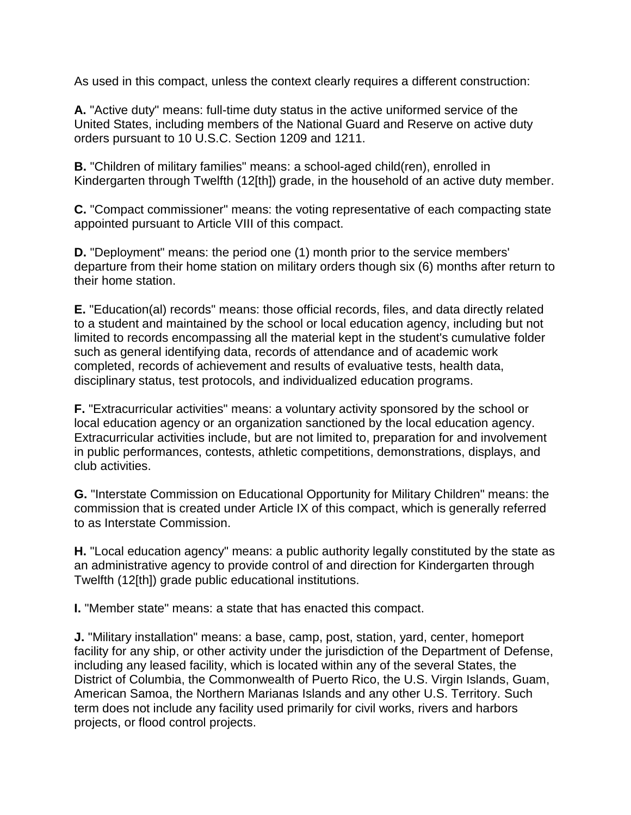As used in this compact, unless the context clearly requires a different construction:

**A.** "Active duty" means: full-time duty status in the active uniformed service of the United States, including members of the National Guard and Reserve on active duty orders pursuant to 10 U.S.C. Section 1209 and 1211.

**B.** "Children of military families" means: a school-aged child(ren), enrolled in Kindergarten through Twelfth (12[th]) grade, in the household of an active duty member.

**C.** "Compact commissioner" means: the voting representative of each compacting state appointed pursuant to Article VIII of this compact.

**D.** "Deployment" means: the period one (1) month prior to the service members' departure from their home station on military orders though six (6) months after return to their home station.

**E.** "Education(al) records" means: those official records, files, and data directly related to a student and maintained by the school or local education agency, including but not limited to records encompassing all the material kept in the student's cumulative folder such as general identifying data, records of attendance and of academic work completed, records of achievement and results of evaluative tests, health data, disciplinary status, test protocols, and individualized education programs.

**F.** "Extracurricular activities" means: a voluntary activity sponsored by the school or local education agency or an organization sanctioned by the local education agency. Extracurricular activities include, but are not limited to, preparation for and involvement in public performances, contests, athletic competitions, demonstrations, displays, and club activities.

**G.** "Interstate Commission on Educational Opportunity for Military Children" means: the commission that is created under Article IX of this compact, which is generally referred to as Interstate Commission.

**H.** "Local education agency" means: a public authority legally constituted by the state as an administrative agency to provide control of and direction for Kindergarten through Twelfth (12[th]) grade public educational institutions.

**I.** "Member state" means: a state that has enacted this compact.

**J.** "Military installation" means: a base, camp, post, station, yard, center, homeport facility for any ship, or other activity under the jurisdiction of the Department of Defense, including any leased facility, which is located within any of the several States, the District of Columbia, the Commonwealth of Puerto Rico, the U.S. Virgin Islands, Guam, American Samoa, the Northern Marianas Islands and any other U.S. Territory. Such term does not include any facility used primarily for civil works, rivers and harbors projects, or flood control projects.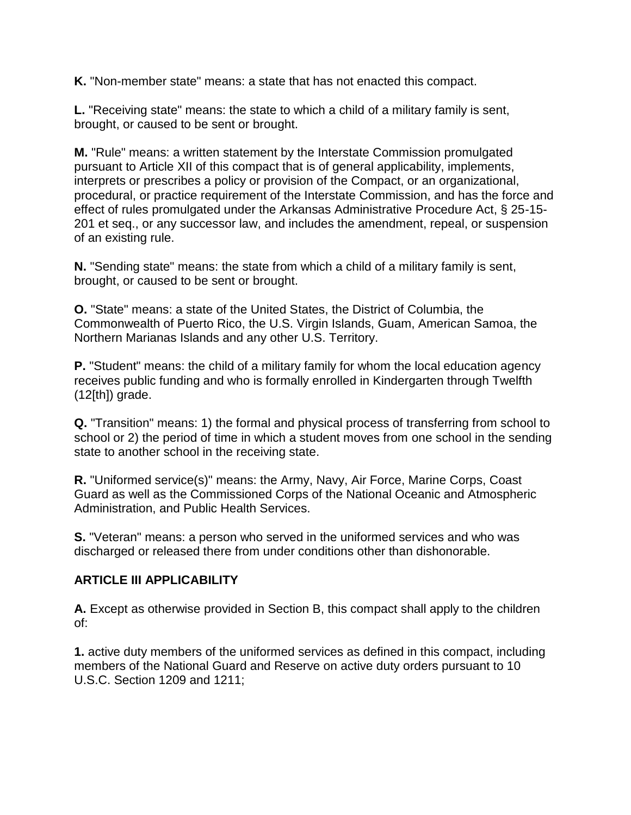**K.** "Non-member state" means: a state that has not enacted this compact.

**L.** "Receiving state" means: the state to which a child of a military family is sent, brought, or caused to be sent or brought.

**M.** "Rule" means: a written statement by the Interstate Commission promulgated pursuant to Article XII of this compact that is of general applicability, implements, interprets or prescribes a policy or provision of the Compact, or an organizational, procedural, or practice requirement of the Interstate Commission, and has the force and effect of rules promulgated under the Arkansas Administrative Procedure Act, § 25-15- 201 et seq., or any successor law, and includes the amendment, repeal, or suspension of an existing rule.

**N.** "Sending state" means: the state from which a child of a military family is sent, brought, or caused to be sent or brought.

**O.** "State" means: a state of the United States, the District of Columbia, the Commonwealth of Puerto Rico, the U.S. Virgin Islands, Guam, American Samoa, the Northern Marianas Islands and any other U.S. Territory.

**P.** "Student" means: the child of a military family for whom the local education agency receives public funding and who is formally enrolled in Kindergarten through Twelfth  $(12[th])$  grade.

**Q.** "Transition" means: 1) the formal and physical process of transferring from school to school or 2) the period of time in which a student moves from one school in the sending state to another school in the receiving state.

**R.** "Uniformed service(s)" means: the Army, Navy, Air Force, Marine Corps, Coast Guard as well as the Commissioned Corps of the National Oceanic and Atmospheric Administration, and Public Health Services.

**S.** "Veteran" means: a person who served in the uniformed services and who was discharged or released there from under conditions other than dishonorable.

## **ARTICLE III APPLICABILITY**

**A.** Except as otherwise provided in Section B, this compact shall apply to the children of:

**1.** active duty members of the uniformed services as defined in this compact, including members of the National Guard and Reserve on active duty orders pursuant to 10 U.S.C. Section 1209 and 1211;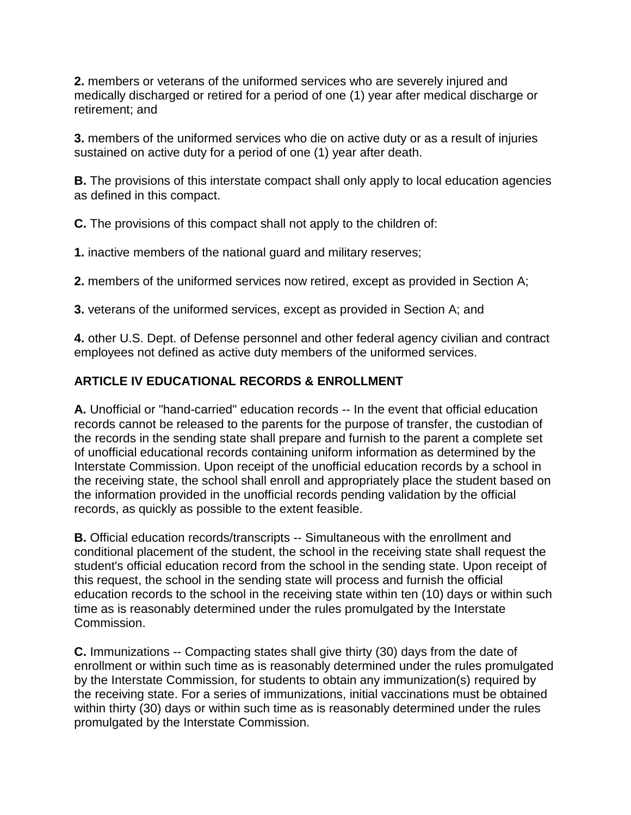**2.** members or veterans of the uniformed services who are severely injured and medically discharged or retired for a period of one (1) year after medical discharge or retirement; and

**3.** members of the uniformed services who die on active duty or as a result of injuries sustained on active duty for a period of one (1) year after death.

**B.** The provisions of this interstate compact shall only apply to local education agencies as defined in this compact.

**C.** The provisions of this compact shall not apply to the children of:

**1.** inactive members of the national guard and military reserves;

**2.** members of the uniformed services now retired, except as provided in Section A;

**3.** veterans of the uniformed services, except as provided in Section A; and

**4.** other U.S. Dept. of Defense personnel and other federal agency civilian and contract employees not defined as active duty members of the uniformed services.

# **ARTICLE IV EDUCATIONAL RECORDS & ENROLLMENT**

**A.** Unofficial or "hand-carried" education records -- In the event that official education records cannot be released to the parents for the purpose of transfer, the custodian of the records in the sending state shall prepare and furnish to the parent a complete set of unofficial educational records containing uniform information as determined by the Interstate Commission. Upon receipt of the unofficial education records by a school in the receiving state, the school shall enroll and appropriately place the student based on the information provided in the unofficial records pending validation by the official records, as quickly as possible to the extent feasible.

**B.** Official education records/transcripts -- Simultaneous with the enrollment and conditional placement of the student, the school in the receiving state shall request the student's official education record from the school in the sending state. Upon receipt of this request, the school in the sending state will process and furnish the official education records to the school in the receiving state within ten (10) days or within such time as is reasonably determined under the rules promulgated by the Interstate Commission.

**C.** Immunizations -- Compacting states shall give thirty (30) days from the date of enrollment or within such time as is reasonably determined under the rules promulgated by the Interstate Commission, for students to obtain any immunization(s) required by the receiving state. For a series of immunizations, initial vaccinations must be obtained within thirty (30) days or within such time as is reasonably determined under the rules promulgated by the Interstate Commission.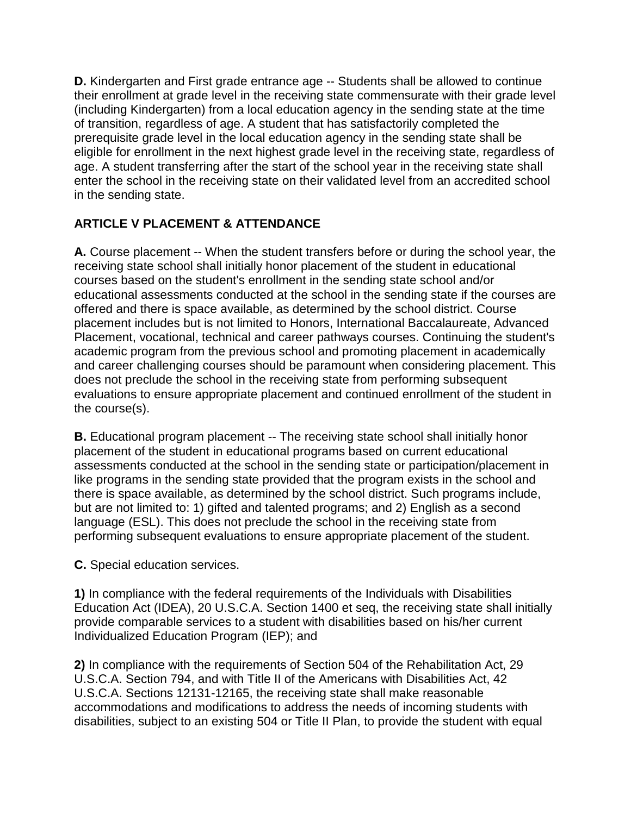**D.** Kindergarten and First grade entrance age -- Students shall be allowed to continue their enrollment at grade level in the receiving state commensurate with their grade level (including Kindergarten) from a local education agency in the sending state at the time of transition, regardless of age. A student that has satisfactorily completed the prerequisite grade level in the local education agency in the sending state shall be eligible for enrollment in the next highest grade level in the receiving state, regardless of age. A student transferring after the start of the school year in the receiving state shall enter the school in the receiving state on their validated level from an accredited school in the sending state.

# **ARTICLE V PLACEMENT & ATTENDANCE**

**A.** Course placement -- When the student transfers before or during the school year, the receiving state school shall initially honor placement of the student in educational courses based on the student's enrollment in the sending state school and/or educational assessments conducted at the school in the sending state if the courses are offered and there is space available, as determined by the school district. Course placement includes but is not limited to Honors, International Baccalaureate, Advanced Placement, vocational, technical and career pathways courses. Continuing the student's academic program from the previous school and promoting placement in academically and career challenging courses should be paramount when considering placement. This does not preclude the school in the receiving state from performing subsequent evaluations to ensure appropriate placement and continued enrollment of the student in the course(s).

**B.** Educational program placement -- The receiving state school shall initially honor placement of the student in educational programs based on current educational assessments conducted at the school in the sending state or participation/placement in like programs in the sending state provided that the program exists in the school and there is space available, as determined by the school district. Such programs include, but are not limited to: 1) gifted and talented programs; and 2) English as a second language (ESL). This does not preclude the school in the receiving state from performing subsequent evaluations to ensure appropriate placement of the student.

**C.** Special education services.

**1)** In compliance with the federal requirements of the Individuals with Disabilities Education Act (IDEA), 20 U.S.C.A. Section 1400 et seq, the receiving state shall initially provide comparable services to a student with disabilities based on his/her current Individualized Education Program (IEP); and

**2)** In compliance with the requirements of Section 504 of the Rehabilitation Act, 29 U.S.C.A. Section 794, and with Title II of the Americans with Disabilities Act, 42 U.S.C.A. Sections 12131-12165, the receiving state shall make reasonable accommodations and modifications to address the needs of incoming students with disabilities, subject to an existing 504 or Title II Plan, to provide the student with equal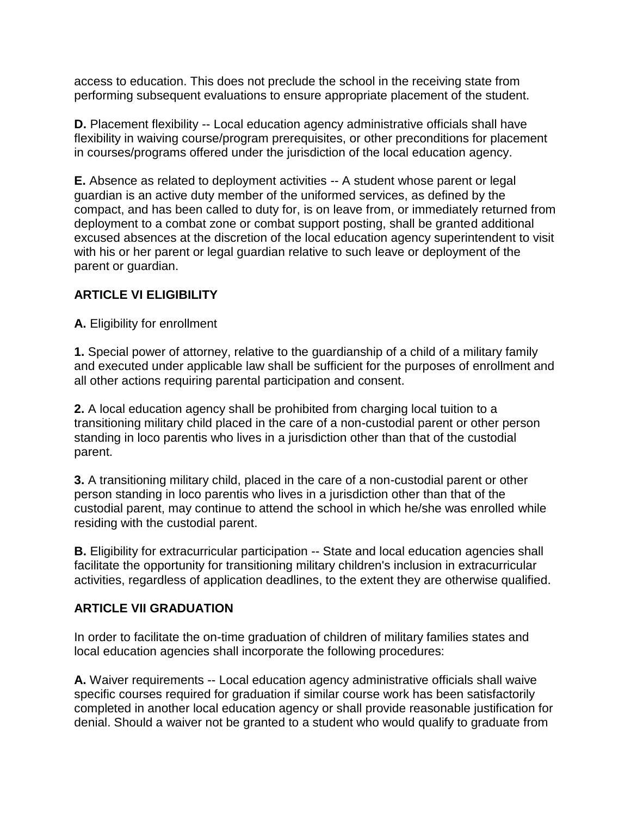access to education. This does not preclude the school in the receiving state from performing subsequent evaluations to ensure appropriate placement of the student.

**D.** Placement flexibility -- Local education agency administrative officials shall have flexibility in waiving course/program prerequisites, or other preconditions for placement in courses/programs offered under the jurisdiction of the local education agency.

**E.** Absence as related to deployment activities -- A student whose parent or legal guardian is an active duty member of the uniformed services, as defined by the compact, and has been called to duty for, is on leave from, or immediately returned from deployment to a combat zone or combat support posting, shall be granted additional excused absences at the discretion of the local education agency superintendent to visit with his or her parent or legal guardian relative to such leave or deployment of the parent or guardian.

## **ARTICLE VI ELIGIBILITY**

**A.** Eligibility for enrollment

**1.** Special power of attorney, relative to the guardianship of a child of a military family and executed under applicable law shall be sufficient for the purposes of enrollment and all other actions requiring parental participation and consent.

**2.** A local education agency shall be prohibited from charging local tuition to a transitioning military child placed in the care of a non-custodial parent or other person standing in loco parentis who lives in a jurisdiction other than that of the custodial parent.

**3.** A transitioning military child, placed in the care of a non-custodial parent or other person standing in loco parentis who lives in a jurisdiction other than that of the custodial parent, may continue to attend the school in which he/she was enrolled while residing with the custodial parent.

**B.** Eligibility for extracurricular participation -- State and local education agencies shall facilitate the opportunity for transitioning military children's inclusion in extracurricular activities, regardless of application deadlines, to the extent they are otherwise qualified.

#### **ARTICLE VII GRADUATION**

In order to facilitate the on-time graduation of children of military families states and local education agencies shall incorporate the following procedures:

**A.** Waiver requirements -- Local education agency administrative officials shall waive specific courses required for graduation if similar course work has been satisfactorily completed in another local education agency or shall provide reasonable justification for denial. Should a waiver not be granted to a student who would qualify to graduate from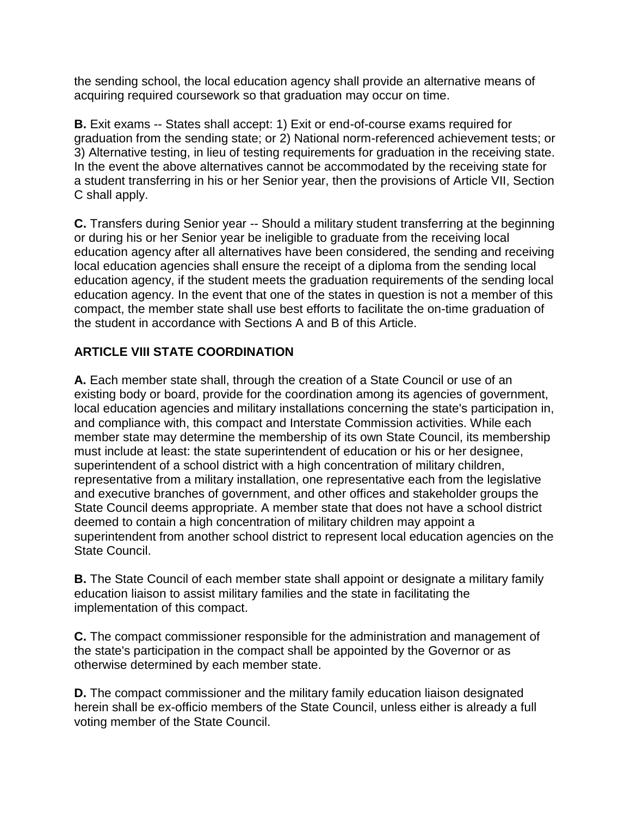the sending school, the local education agency shall provide an alternative means of acquiring required coursework so that graduation may occur on time.

**B.** Exit exams -- States shall accept: 1) Exit or end-of-course exams required for graduation from the sending state; or 2) National norm-referenced achievement tests; or 3) Alternative testing, in lieu of testing requirements for graduation in the receiving state. In the event the above alternatives cannot be accommodated by the receiving state for a student transferring in his or her Senior year, then the provisions of Article VII, Section C shall apply.

**C.** Transfers during Senior year -- Should a military student transferring at the beginning or during his or her Senior year be ineligible to graduate from the receiving local education agency after all alternatives have been considered, the sending and receiving local education agencies shall ensure the receipt of a diploma from the sending local education agency, if the student meets the graduation requirements of the sending local education agency. In the event that one of the states in question is not a member of this compact, the member state shall use best efforts to facilitate the on-time graduation of the student in accordance with Sections A and B of this Article.

# **ARTICLE VIII STATE COORDINATION**

**A.** Each member state shall, through the creation of a State Council or use of an existing body or board, provide for the coordination among its agencies of government, local education agencies and military installations concerning the state's participation in, and compliance with, this compact and Interstate Commission activities. While each member state may determine the membership of its own State Council, its membership must include at least: the state superintendent of education or his or her designee, superintendent of a school district with a high concentration of military children, representative from a military installation, one representative each from the legislative and executive branches of government, and other offices and stakeholder groups the State Council deems appropriate. A member state that does not have a school district deemed to contain a high concentration of military children may appoint a superintendent from another school district to represent local education agencies on the State Council.

**B.** The State Council of each member state shall appoint or designate a military family education liaison to assist military families and the state in facilitating the implementation of this compact.

**C.** The compact commissioner responsible for the administration and management of the state's participation in the compact shall be appointed by the Governor or as otherwise determined by each member state.

**D.** The compact commissioner and the military family education liaison designated herein shall be ex-officio members of the State Council, unless either is already a full voting member of the State Council.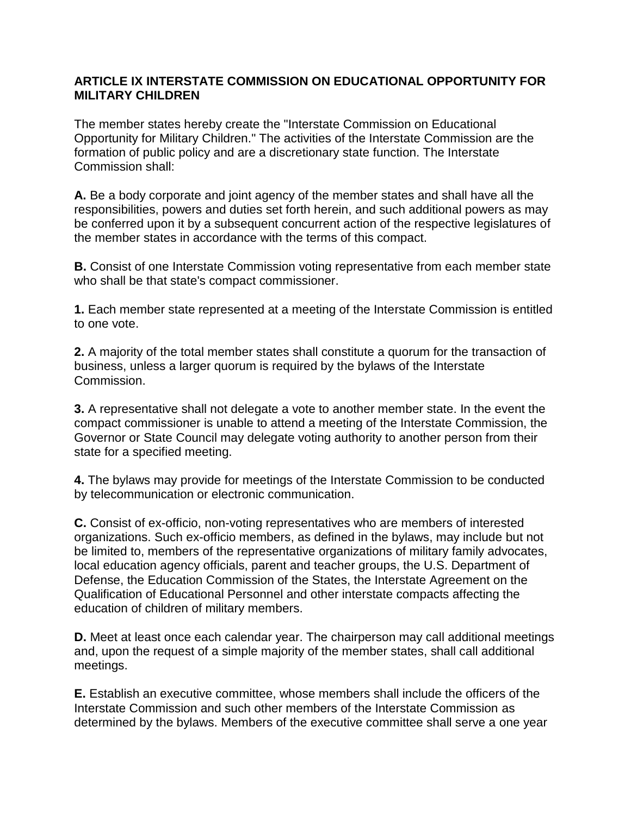#### **ARTICLE IX INTERSTATE COMMISSION ON EDUCATIONAL OPPORTUNITY FOR MILITARY CHILDREN**

The member states hereby create the "Interstate Commission on Educational Opportunity for Military Children." The activities of the Interstate Commission are the formation of public policy and are a discretionary state function. The Interstate Commission shall:

**A.** Be a body corporate and joint agency of the member states and shall have all the responsibilities, powers and duties set forth herein, and such additional powers as may be conferred upon it by a subsequent concurrent action of the respective legislatures of the member states in accordance with the terms of this compact.

**B.** Consist of one Interstate Commission voting representative from each member state who shall be that state's compact commissioner.

**1.** Each member state represented at a meeting of the Interstate Commission is entitled to one vote.

**2.** A majority of the total member states shall constitute a quorum for the transaction of business, unless a larger quorum is required by the bylaws of the Interstate Commission.

**3.** A representative shall not delegate a vote to another member state. In the event the compact commissioner is unable to attend a meeting of the Interstate Commission, the Governor or State Council may delegate voting authority to another person from their state for a specified meeting.

**4.** The bylaws may provide for meetings of the Interstate Commission to be conducted by telecommunication or electronic communication.

**C.** Consist of ex-officio, non-voting representatives who are members of interested organizations. Such ex-officio members, as defined in the bylaws, may include but not be limited to, members of the representative organizations of military family advocates, local education agency officials, parent and teacher groups, the U.S. Department of Defense, the Education Commission of the States, the Interstate Agreement on the Qualification of Educational Personnel and other interstate compacts affecting the education of children of military members.

**D.** Meet at least once each calendar year. The chairperson may call additional meetings and, upon the request of a simple majority of the member states, shall call additional meetings.

**E.** Establish an executive committee, whose members shall include the officers of the Interstate Commission and such other members of the Interstate Commission as determined by the bylaws. Members of the executive committee shall serve a one year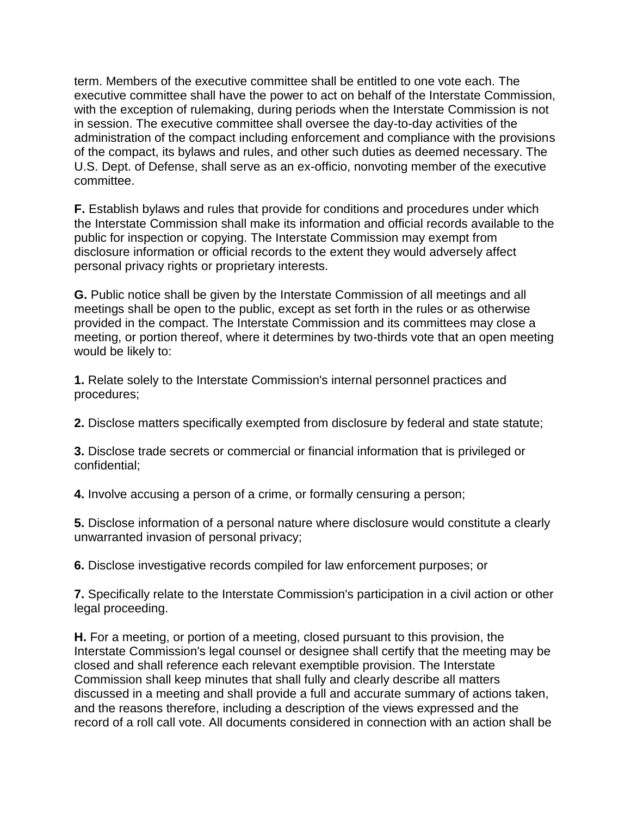term. Members of the executive committee shall be entitled to one vote each. The executive committee shall have the power to act on behalf of the Interstate Commission, with the exception of rulemaking, during periods when the Interstate Commission is not in session. The executive committee shall oversee the day-to-day activities of the administration of the compact including enforcement and compliance with the provisions of the compact, its bylaws and rules, and other such duties as deemed necessary. The U.S. Dept. of Defense, shall serve as an ex-officio, nonvoting member of the executive committee.

**F.** Establish bylaws and rules that provide for conditions and procedures under which the Interstate Commission shall make its information and official records available to the public for inspection or copying. The Interstate Commission may exempt from disclosure information or official records to the extent they would adversely affect personal privacy rights or proprietary interests.

**G.** Public notice shall be given by the Interstate Commission of all meetings and all meetings shall be open to the public, except as set forth in the rules or as otherwise provided in the compact. The Interstate Commission and its committees may close a meeting, or portion thereof, where it determines by two-thirds vote that an open meeting would be likely to:

**1.** Relate solely to the Interstate Commission's internal personnel practices and procedures;

**2.** Disclose matters specifically exempted from disclosure by federal and state statute;

**3.** Disclose trade secrets or commercial or financial information that is privileged or confidential;

**4.** Involve accusing a person of a crime, or formally censuring a person;

**5.** Disclose information of a personal nature where disclosure would constitute a clearly unwarranted invasion of personal privacy;

**6.** Disclose investigative records compiled for law enforcement purposes; or

**7.** Specifically relate to the Interstate Commission's participation in a civil action or other legal proceeding.

**H.** For a meeting, or portion of a meeting, closed pursuant to this provision, the Interstate Commission's legal counsel or designee shall certify that the meeting may be closed and shall reference each relevant exemptible provision. The Interstate Commission shall keep minutes that shall fully and clearly describe all matters discussed in a meeting and shall provide a full and accurate summary of actions taken, and the reasons therefore, including a description of the views expressed and the record of a roll call vote. All documents considered in connection with an action shall be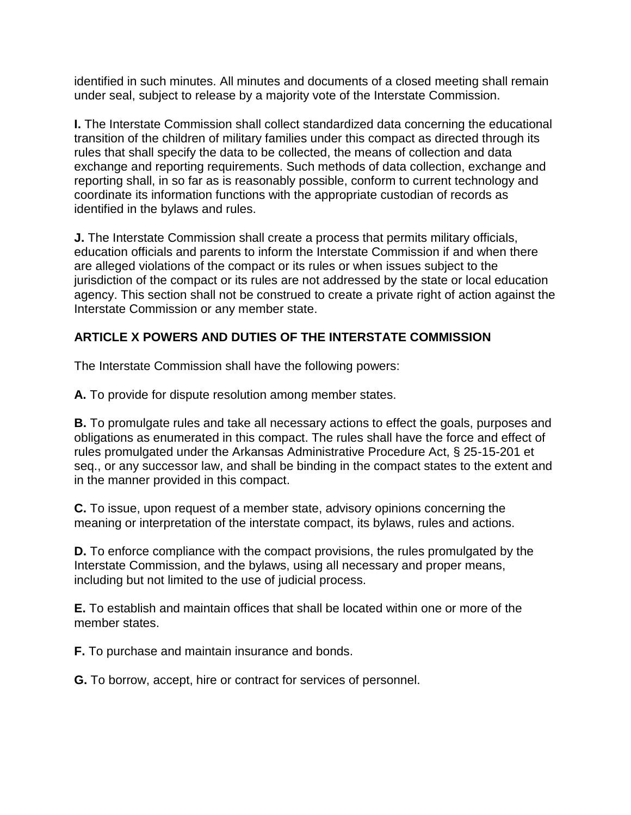identified in such minutes. All minutes and documents of a closed meeting shall remain under seal, subject to release by a majority vote of the Interstate Commission.

**I.** The Interstate Commission shall collect standardized data concerning the educational transition of the children of military families under this compact as directed through its rules that shall specify the data to be collected, the means of collection and data exchange and reporting requirements. Such methods of data collection, exchange and reporting shall, in so far as is reasonably possible, conform to current technology and coordinate its information functions with the appropriate custodian of records as identified in the bylaws and rules.

**J.** The Interstate Commission shall create a process that permits military officials, education officials and parents to inform the Interstate Commission if and when there are alleged violations of the compact or its rules or when issues subject to the jurisdiction of the compact or its rules are not addressed by the state or local education agency. This section shall not be construed to create a private right of action against the Interstate Commission or any member state.

## **ARTICLE X POWERS AND DUTIES OF THE INTERSTATE COMMISSION**

The Interstate Commission shall have the following powers:

**A.** To provide for dispute resolution among member states.

**B.** To promulgate rules and take all necessary actions to effect the goals, purposes and obligations as enumerated in this compact. The rules shall have the force and effect of rules promulgated under the Arkansas Administrative Procedure Act, § 25-15-201 et seq., or any successor law, and shall be binding in the compact states to the extent and in the manner provided in this compact.

**C.** To issue, upon request of a member state, advisory opinions concerning the meaning or interpretation of the interstate compact, its bylaws, rules and actions.

**D.** To enforce compliance with the compact provisions, the rules promulgated by the Interstate Commission, and the bylaws, using all necessary and proper means, including but not limited to the use of judicial process.

**E.** To establish and maintain offices that shall be located within one or more of the member states.

**F.** To purchase and maintain insurance and bonds.

**G.** To borrow, accept, hire or contract for services of personnel.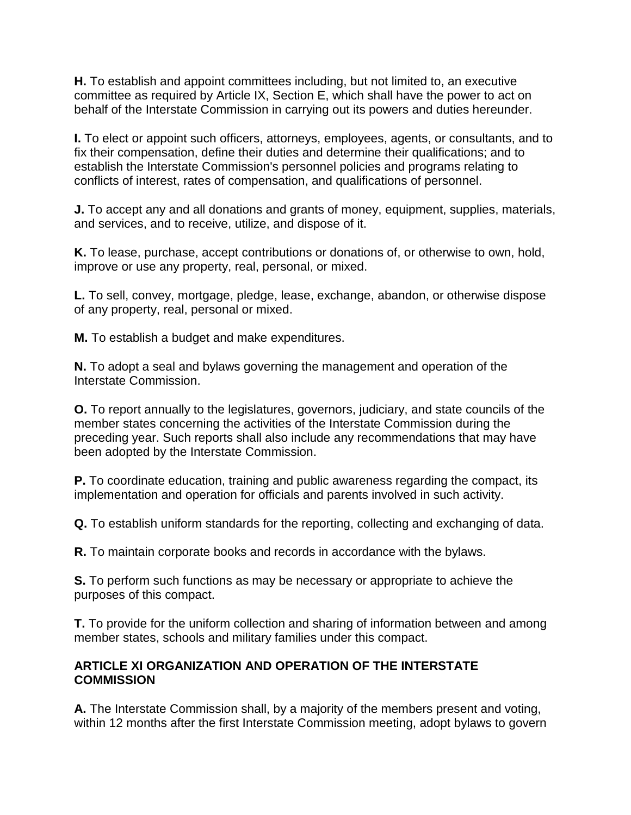**H.** To establish and appoint committees including, but not limited to, an executive committee as required by Article IX, Section E, which shall have the power to act on behalf of the Interstate Commission in carrying out its powers and duties hereunder.

**I.** To elect or appoint such officers, attorneys, employees, agents, or consultants, and to fix their compensation, define their duties and determine their qualifications; and to establish the Interstate Commission's personnel policies and programs relating to conflicts of interest, rates of compensation, and qualifications of personnel.

**J.** To accept any and all donations and grants of money, equipment, supplies, materials, and services, and to receive, utilize, and dispose of it.

**K.** To lease, purchase, accept contributions or donations of, or otherwise to own, hold, improve or use any property, real, personal, or mixed.

**L.** To sell, convey, mortgage, pledge, lease, exchange, abandon, or otherwise dispose of any property, real, personal or mixed.

**M.** To establish a budget and make expenditures.

**N.** To adopt a seal and bylaws governing the management and operation of the Interstate Commission.

**O.** To report annually to the legislatures, governors, judiciary, and state councils of the member states concerning the activities of the Interstate Commission during the preceding year. Such reports shall also include any recommendations that may have been adopted by the Interstate Commission.

**P.** To coordinate education, training and public awareness regarding the compact, its implementation and operation for officials and parents involved in such activity.

**Q.** To establish uniform standards for the reporting, collecting and exchanging of data.

**R.** To maintain corporate books and records in accordance with the bylaws.

**S.** To perform such functions as may be necessary or appropriate to achieve the purposes of this compact.

**T.** To provide for the uniform collection and sharing of information between and among member states, schools and military families under this compact.

## **ARTICLE XI ORGANIZATION AND OPERATION OF THE INTERSTATE COMMISSION**

**A.** The Interstate Commission shall, by a majority of the members present and voting, within 12 months after the first Interstate Commission meeting, adopt bylaws to govern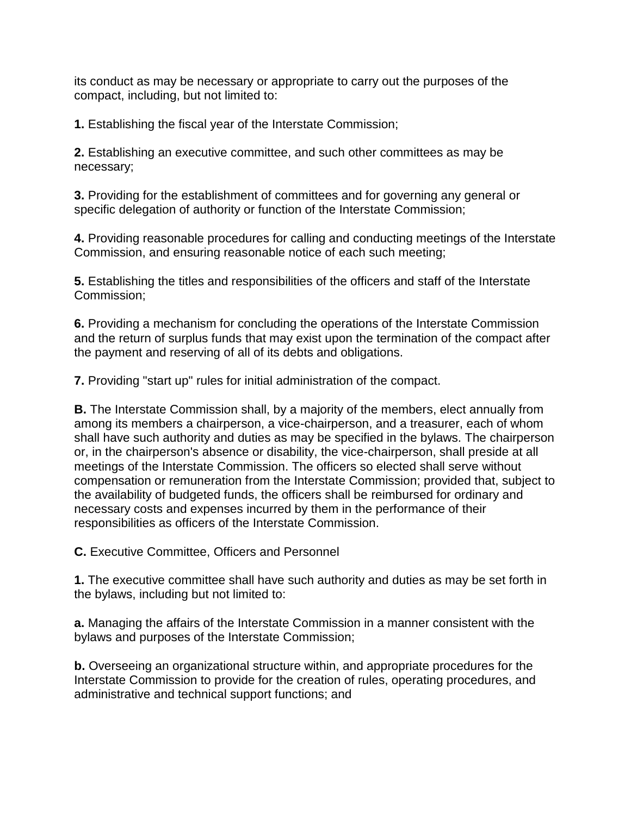its conduct as may be necessary or appropriate to carry out the purposes of the compact, including, but not limited to:

**1.** Establishing the fiscal year of the Interstate Commission;

**2.** Establishing an executive committee, and such other committees as may be necessary;

**3.** Providing for the establishment of committees and for governing any general or specific delegation of authority or function of the Interstate Commission;

**4.** Providing reasonable procedures for calling and conducting meetings of the Interstate Commission, and ensuring reasonable notice of each such meeting;

**5.** Establishing the titles and responsibilities of the officers and staff of the Interstate Commission;

**6.** Providing a mechanism for concluding the operations of the Interstate Commission and the return of surplus funds that may exist upon the termination of the compact after the payment and reserving of all of its debts and obligations.

**7.** Providing "start up" rules for initial administration of the compact.

**B.** The Interstate Commission shall, by a majority of the members, elect annually from among its members a chairperson, a vice-chairperson, and a treasurer, each of whom shall have such authority and duties as may be specified in the bylaws. The chairperson or, in the chairperson's absence or disability, the vice-chairperson, shall preside at all meetings of the Interstate Commission. The officers so elected shall serve without compensation or remuneration from the Interstate Commission; provided that, subject to the availability of budgeted funds, the officers shall be reimbursed for ordinary and necessary costs and expenses incurred by them in the performance of their responsibilities as officers of the Interstate Commission.

**C.** Executive Committee, Officers and Personnel

**1.** The executive committee shall have such authority and duties as may be set forth in the bylaws, including but not limited to:

**a.** Managing the affairs of the Interstate Commission in a manner consistent with the bylaws and purposes of the Interstate Commission;

**b.** Overseeing an organizational structure within, and appropriate procedures for the Interstate Commission to provide for the creation of rules, operating procedures, and administrative and technical support functions; and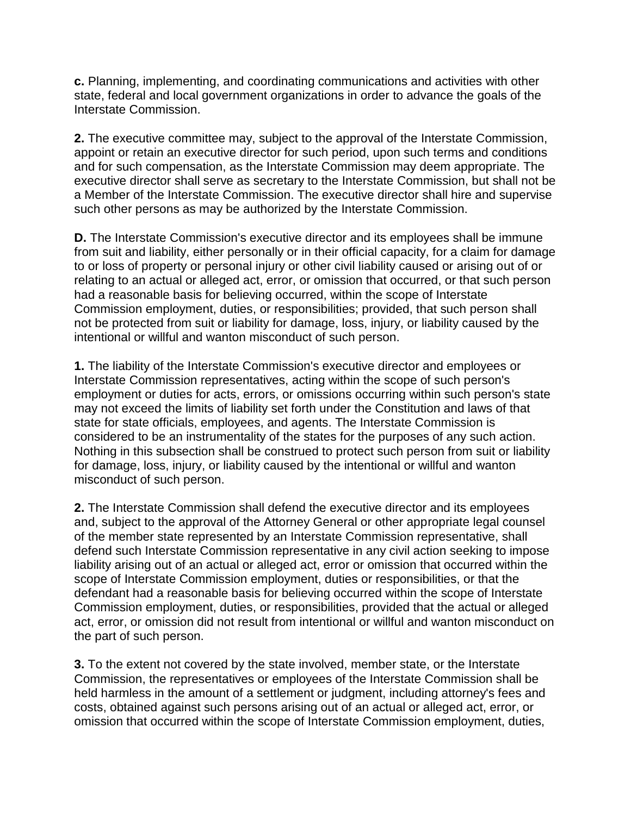**c.** Planning, implementing, and coordinating communications and activities with other state, federal and local government organizations in order to advance the goals of the Interstate Commission.

**2.** The executive committee may, subject to the approval of the Interstate Commission, appoint or retain an executive director for such period, upon such terms and conditions and for such compensation, as the Interstate Commission may deem appropriate. The executive director shall serve as secretary to the Interstate Commission, but shall not be a Member of the Interstate Commission. The executive director shall hire and supervise such other persons as may be authorized by the Interstate Commission.

**D.** The Interstate Commission's executive director and its employees shall be immune from suit and liability, either personally or in their official capacity, for a claim for damage to or loss of property or personal injury or other civil liability caused or arising out of or relating to an actual or alleged act, error, or omission that occurred, or that such person had a reasonable basis for believing occurred, within the scope of Interstate Commission employment, duties, or responsibilities; provided, that such person shall not be protected from suit or liability for damage, loss, injury, or liability caused by the intentional or willful and wanton misconduct of such person.

**1.** The liability of the Interstate Commission's executive director and employees or Interstate Commission representatives, acting within the scope of such person's employment or duties for acts, errors, or omissions occurring within such person's state may not exceed the limits of liability set forth under the Constitution and laws of that state for state officials, employees, and agents. The Interstate Commission is considered to be an instrumentality of the states for the purposes of any such action. Nothing in this subsection shall be construed to protect such person from suit or liability for damage, loss, injury, or liability caused by the intentional or willful and wanton misconduct of such person.

**2.** The Interstate Commission shall defend the executive director and its employees and, subject to the approval of the Attorney General or other appropriate legal counsel of the member state represented by an Interstate Commission representative, shall defend such Interstate Commission representative in any civil action seeking to impose liability arising out of an actual or alleged act, error or omission that occurred within the scope of Interstate Commission employment, duties or responsibilities, or that the defendant had a reasonable basis for believing occurred within the scope of Interstate Commission employment, duties, or responsibilities, provided that the actual or alleged act, error, or omission did not result from intentional or willful and wanton misconduct on the part of such person.

**3.** To the extent not covered by the state involved, member state, or the Interstate Commission, the representatives or employees of the Interstate Commission shall be held harmless in the amount of a settlement or judgment, including attorney's fees and costs, obtained against such persons arising out of an actual or alleged act, error, or omission that occurred within the scope of Interstate Commission employment, duties,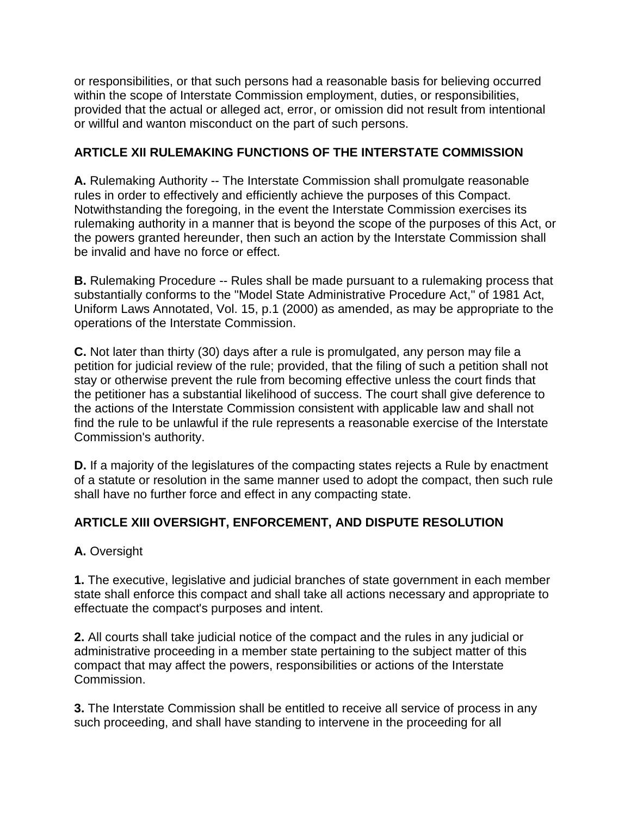or responsibilities, or that such persons had a reasonable basis for believing occurred within the scope of Interstate Commission employment, duties, or responsibilities, provided that the actual or alleged act, error, or omission did not result from intentional or willful and wanton misconduct on the part of such persons.

## **ARTICLE XII RULEMAKING FUNCTIONS OF THE INTERSTATE COMMISSION**

**A.** Rulemaking Authority -- The Interstate Commission shall promulgate reasonable rules in order to effectively and efficiently achieve the purposes of this Compact. Notwithstanding the foregoing, in the event the Interstate Commission exercises its rulemaking authority in a manner that is beyond the scope of the purposes of this Act, or the powers granted hereunder, then such an action by the Interstate Commission shall be invalid and have no force or effect.

**B.** Rulemaking Procedure -- Rules shall be made pursuant to a rulemaking process that substantially conforms to the "Model State Administrative Procedure Act," of 1981 Act, Uniform Laws Annotated, Vol. 15, p.1 (2000) as amended, as may be appropriate to the operations of the Interstate Commission.

**C.** Not later than thirty (30) days after a rule is promulgated, any person may file a petition for judicial review of the rule; provided, that the filing of such a petition shall not stay or otherwise prevent the rule from becoming effective unless the court finds that the petitioner has a substantial likelihood of success. The court shall give deference to the actions of the Interstate Commission consistent with applicable law and shall not find the rule to be unlawful if the rule represents a reasonable exercise of the Interstate Commission's authority.

**D.** If a majority of the legislatures of the compacting states rejects a Rule by enactment of a statute or resolution in the same manner used to adopt the compact, then such rule shall have no further force and effect in any compacting state.

# **ARTICLE XIII OVERSIGHT, ENFORCEMENT, AND DISPUTE RESOLUTION**

## **A.** Oversight

**1.** The executive, legislative and judicial branches of state government in each member state shall enforce this compact and shall take all actions necessary and appropriate to effectuate the compact's purposes and intent.

**2.** All courts shall take judicial notice of the compact and the rules in any judicial or administrative proceeding in a member state pertaining to the subject matter of this compact that may affect the powers, responsibilities or actions of the Interstate Commission.

**3.** The Interstate Commission shall be entitled to receive all service of process in any such proceeding, and shall have standing to intervene in the proceeding for all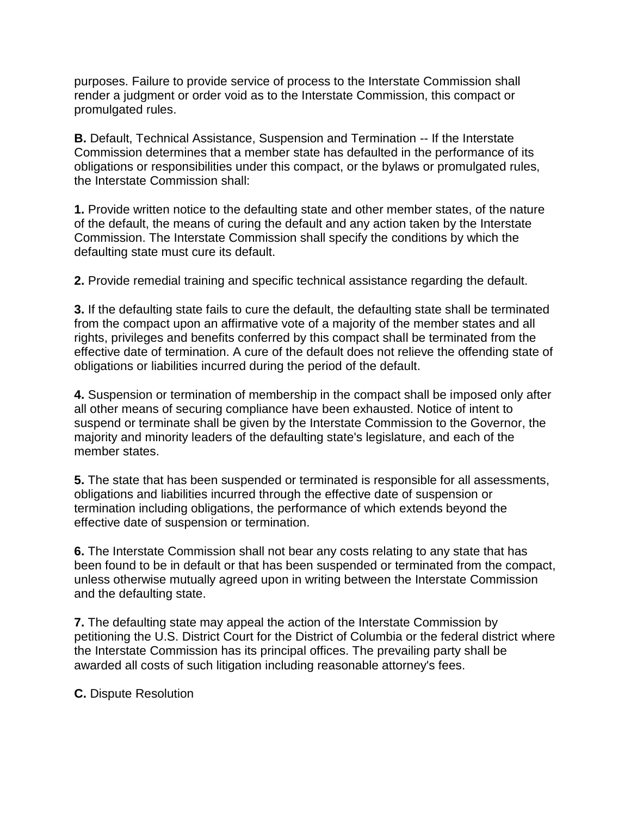purposes. Failure to provide service of process to the Interstate Commission shall render a judgment or order void as to the Interstate Commission, this compact or promulgated rules.

**B.** Default, Technical Assistance, Suspension and Termination -- If the Interstate Commission determines that a member state has defaulted in the performance of its obligations or responsibilities under this compact, or the bylaws or promulgated rules, the Interstate Commission shall:

**1.** Provide written notice to the defaulting state and other member states, of the nature of the default, the means of curing the default and any action taken by the Interstate Commission. The Interstate Commission shall specify the conditions by which the defaulting state must cure its default.

**2.** Provide remedial training and specific technical assistance regarding the default.

**3.** If the defaulting state fails to cure the default, the defaulting state shall be terminated from the compact upon an affirmative vote of a majority of the member states and all rights, privileges and benefits conferred by this compact shall be terminated from the effective date of termination. A cure of the default does not relieve the offending state of obligations or liabilities incurred during the period of the default.

**4.** Suspension or termination of membership in the compact shall be imposed only after all other means of securing compliance have been exhausted. Notice of intent to suspend or terminate shall be given by the Interstate Commission to the Governor, the majority and minority leaders of the defaulting state's legislature, and each of the member states.

**5.** The state that has been suspended or terminated is responsible for all assessments, obligations and liabilities incurred through the effective date of suspension or termination including obligations, the performance of which extends beyond the effective date of suspension or termination.

**6.** The Interstate Commission shall not bear any costs relating to any state that has been found to be in default or that has been suspended or terminated from the compact, unless otherwise mutually agreed upon in writing between the Interstate Commission and the defaulting state.

**7.** The defaulting state may appeal the action of the Interstate Commission by petitioning the U.S. District Court for the District of Columbia or the federal district where the Interstate Commission has its principal offices. The prevailing party shall be awarded all costs of such litigation including reasonable attorney's fees.

**C.** Dispute Resolution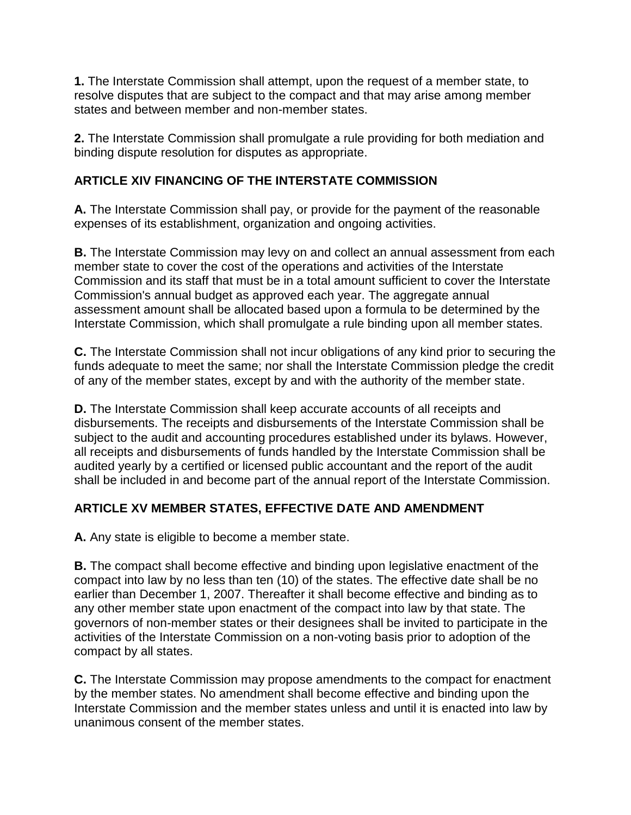**1.** The Interstate Commission shall attempt, upon the request of a member state, to resolve disputes that are subject to the compact and that may arise among member states and between member and non-member states.

**2.** The Interstate Commission shall promulgate a rule providing for both mediation and binding dispute resolution for disputes as appropriate.

# **ARTICLE XIV FINANCING OF THE INTERSTATE COMMISSION**

**A.** The Interstate Commission shall pay, or provide for the payment of the reasonable expenses of its establishment, organization and ongoing activities.

**B.** The Interstate Commission may levy on and collect an annual assessment from each member state to cover the cost of the operations and activities of the Interstate Commission and its staff that must be in a total amount sufficient to cover the Interstate Commission's annual budget as approved each year. The aggregate annual assessment amount shall be allocated based upon a formula to be determined by the Interstate Commission, which shall promulgate a rule binding upon all member states.

**C.** The Interstate Commission shall not incur obligations of any kind prior to securing the funds adequate to meet the same; nor shall the Interstate Commission pledge the credit of any of the member states, except by and with the authority of the member state.

**D.** The Interstate Commission shall keep accurate accounts of all receipts and disbursements. The receipts and disbursements of the Interstate Commission shall be subject to the audit and accounting procedures established under its bylaws. However, all receipts and disbursements of funds handled by the Interstate Commission shall be audited yearly by a certified or licensed public accountant and the report of the audit shall be included in and become part of the annual report of the Interstate Commission.

# **ARTICLE XV MEMBER STATES, EFFECTIVE DATE AND AMENDMENT**

**A.** Any state is eligible to become a member state.

**B.** The compact shall become effective and binding upon legislative enactment of the compact into law by no less than ten (10) of the states. The effective date shall be no earlier than December 1, 2007. Thereafter it shall become effective and binding as to any other member state upon enactment of the compact into law by that state. The governors of non-member states or their designees shall be invited to participate in the activities of the Interstate Commission on a non-voting basis prior to adoption of the compact by all states.

**C.** The Interstate Commission may propose amendments to the compact for enactment by the member states. No amendment shall become effective and binding upon the Interstate Commission and the member states unless and until it is enacted into law by unanimous consent of the member states.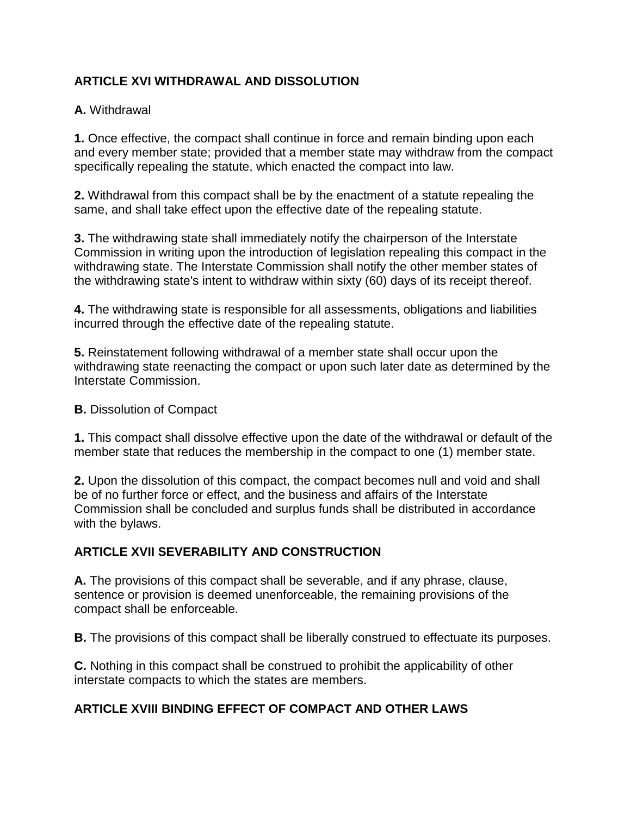# **ARTICLE XVI WITHDRAWAL AND DISSOLUTION**

#### **A.** Withdrawal

**1.** Once effective, the compact shall continue in force and remain binding upon each and every member state; provided that a member state may withdraw from the compact specifically repealing the statute, which enacted the compact into law.

**2.** Withdrawal from this compact shall be by the enactment of a statute repealing the same, and shall take effect upon the effective date of the repealing statute.

**3.** The withdrawing state shall immediately notify the chairperson of the Interstate Commission in writing upon the introduction of legislation repealing this compact in the withdrawing state. The Interstate Commission shall notify the other member states of the withdrawing state's intent to withdraw within sixty (60) days of its receipt thereof.

**4.** The withdrawing state is responsible for all assessments, obligations and liabilities incurred through the effective date of the repealing statute.

**5.** Reinstatement following withdrawal of a member state shall occur upon the withdrawing state reenacting the compact or upon such later date as determined by the Interstate Commission.

#### **B.** Dissolution of Compact

**1.** This compact shall dissolve effective upon the date of the withdrawal or default of the member state that reduces the membership in the compact to one (1) member state.

**2.** Upon the dissolution of this compact, the compact becomes null and void and shall be of no further force or effect, and the business and affairs of the Interstate Commission shall be concluded and surplus funds shall be distributed in accordance with the bylaws.

## **ARTICLE XVII SEVERABILITY AND CONSTRUCTION**

**A.** The provisions of this compact shall be severable, and if any phrase, clause, sentence or provision is deemed unenforceable, the remaining provisions of the compact shall be enforceable.

**B.** The provisions of this compact shall be liberally construed to effectuate its purposes.

**C.** Nothing in this compact shall be construed to prohibit the applicability of other interstate compacts to which the states are members.

## **ARTICLE XVIII BINDING EFFECT OF COMPACT AND OTHER LAWS**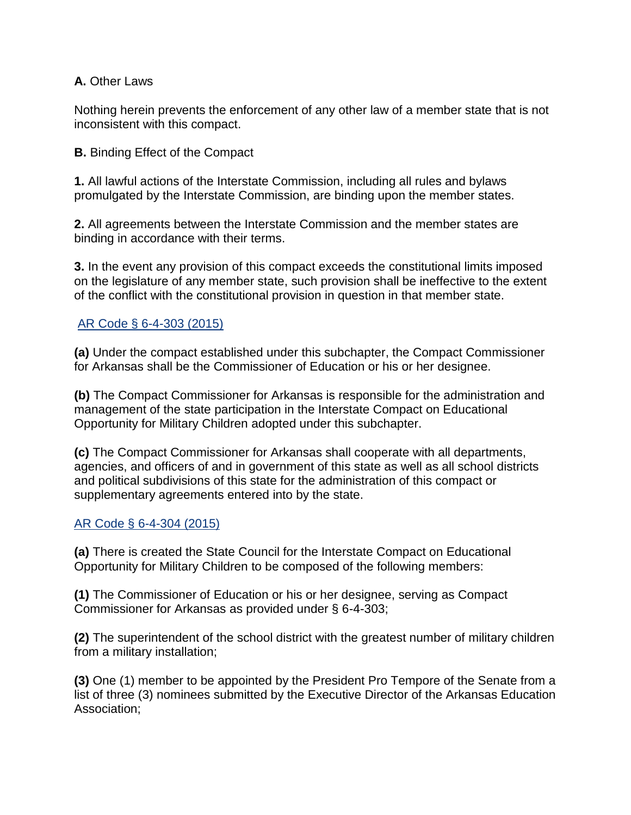#### **A.** Other Laws

Nothing herein prevents the enforcement of any other law of a member state that is not inconsistent with this compact.

**B.** Binding Effect of the Compact

**1.** All lawful actions of the Interstate Commission, including all rules and bylaws promulgated by the Interstate Commission, are binding upon the member states.

**2.** All agreements between the Interstate Commission and the member states are binding in accordance with their terms.

**3.** In the event any provision of this compact exceeds the constitutional limits imposed on the legislature of any member state, such provision shall be ineffective to the extent of the conflict with the constitutional provision in question in that member state.

#### [AR Code § 6-4-303 \(2015\)](http://law.justia.com/citations.html)

**(a)** Under the compact established under this subchapter, the Compact Commissioner for Arkansas shall be the Commissioner of Education or his or her designee.

**(b)** The Compact Commissioner for Arkansas is responsible for the administration and management of the state participation in the Interstate Compact on Educational Opportunity for Military Children adopted under this subchapter.

**(c)** The Compact Commissioner for Arkansas shall cooperate with all departments, agencies, and officers of and in government of this state as well as all school districts and political subdivisions of this state for the administration of this compact or supplementary agreements entered into by the state.

#### [AR Code § 6-4-304 \(2015\)](http://law.justia.com/citations.html)

**(a)** There is created the State Council for the Interstate Compact on Educational Opportunity for Military Children to be composed of the following members:

**(1)** The Commissioner of Education or his or her designee, serving as Compact Commissioner for Arkansas as provided under § 6-4-303;

**(2)** The superintendent of the school district with the greatest number of military children from a military installation;

**(3)** One (1) member to be appointed by the President Pro Tempore of the Senate from a list of three (3) nominees submitted by the Executive Director of the Arkansas Education Association;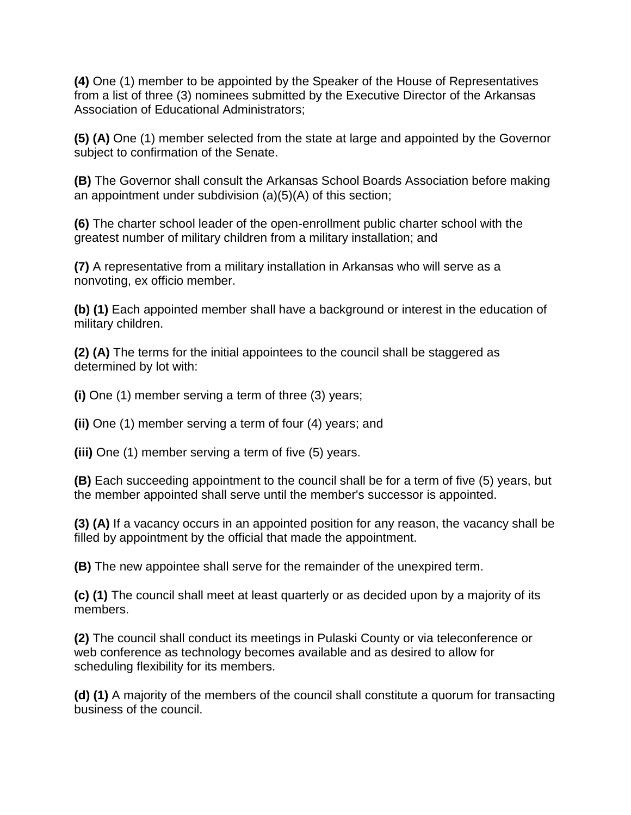**(4)** One (1) member to be appointed by the Speaker of the House of Representatives from a list of three (3) nominees submitted by the Executive Director of the Arkansas Association of Educational Administrators;

**(5) (A)** One (1) member selected from the state at large and appointed by the Governor subject to confirmation of the Senate.

**(B)** The Governor shall consult the Arkansas School Boards Association before making an appointment under subdivision (a)(5)(A) of this section;

**(6)** The charter school leader of the open-enrollment public charter school with the greatest number of military children from a military installation; and

**(7)** A representative from a military installation in Arkansas who will serve as a nonvoting, ex officio member.

**(b) (1)** Each appointed member shall have a background or interest in the education of military children.

**(2) (A)** The terms for the initial appointees to the council shall be staggered as determined by lot with:

**(i)** One (1) member serving a term of three (3) years;

**(ii)** One (1) member serving a term of four (4) years; and

**(iii)** One (1) member serving a term of five (5) years.

**(B)** Each succeeding appointment to the council shall be for a term of five (5) years, but the member appointed shall serve until the member's successor is appointed.

**(3) (A)** If a vacancy occurs in an appointed position for any reason, the vacancy shall be filled by appointment by the official that made the appointment.

**(B)** The new appointee shall serve for the remainder of the unexpired term.

**(c) (1)** The council shall meet at least quarterly or as decided upon by a majority of its members.

**(2)** The council shall conduct its meetings in Pulaski County or via teleconference or web conference as technology becomes available and as desired to allow for scheduling flexibility for its members.

**(d) (1)** A majority of the members of the council shall constitute a quorum for transacting business of the council.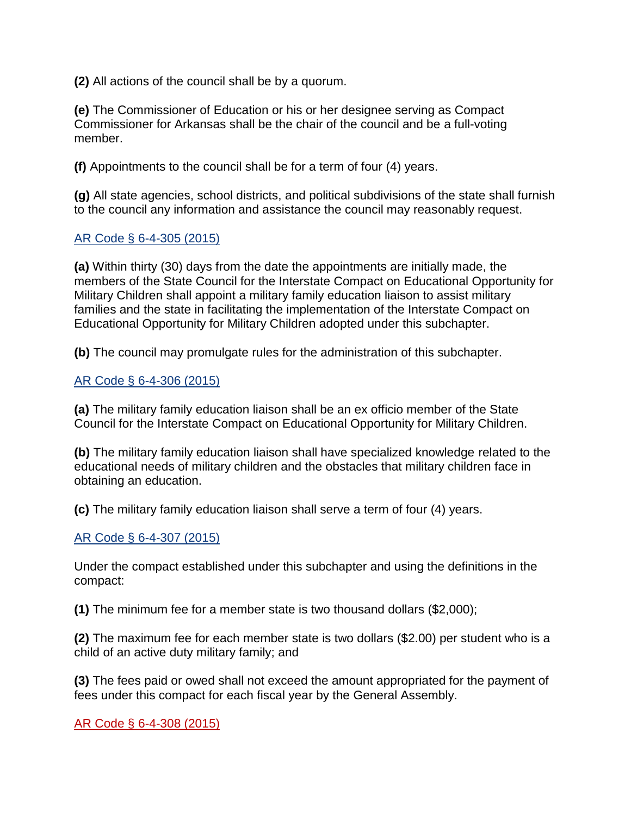**(2)** All actions of the council shall be by a quorum.

**(e)** The Commissioner of Education or his or her designee serving as Compact Commissioner for Arkansas shall be the chair of the council and be a full-voting member.

**(f)** Appointments to the council shall be for a term of four (4) years.

**(g)** All state agencies, school districts, and political subdivisions of the state shall furnish to the council any information and assistance the council may reasonably request.

#### [AR Code § 6-4-305 \(2015\)](http://law.justia.com/citations.html)

**(a)** Within thirty (30) days from the date the appointments are initially made, the members of the State Council for the Interstate Compact on Educational Opportunity for Military Children shall appoint a military family education liaison to assist military families and the state in facilitating the implementation of the Interstate Compact on Educational Opportunity for Military Children adopted under this subchapter.

**(b)** The council may promulgate rules for the administration of this subchapter.

#### [AR Code § 6-4-306 \(2015\)](http://law.justia.com/citations.html)

**(a)** The military family education liaison shall be an ex officio member of the State Council for the Interstate Compact on Educational Opportunity for Military Children.

**(b)** The military family education liaison shall have specialized knowledge related to the educational needs of military children and the obstacles that military children face in obtaining an education.

**(c)** The military family education liaison shall serve a term of four (4) years.

## [AR Code § 6-4-307 \(2015\)](http://law.justia.com/citations.html)

Under the compact established under this subchapter and using the definitions in the compact:

**(1)** The minimum fee for a member state is two thousand dollars (\$2,000);

**(2)** The maximum fee for each member state is two dollars (\$2.00) per student who is a child of an active duty military family; and

**(3)** The fees paid or owed shall not exceed the amount appropriated for the payment of fees under this compact for each fiscal year by the General Assembly.

[AR Code § 6-4-308 \(2015\)](http://law.justia.com/citations.html)